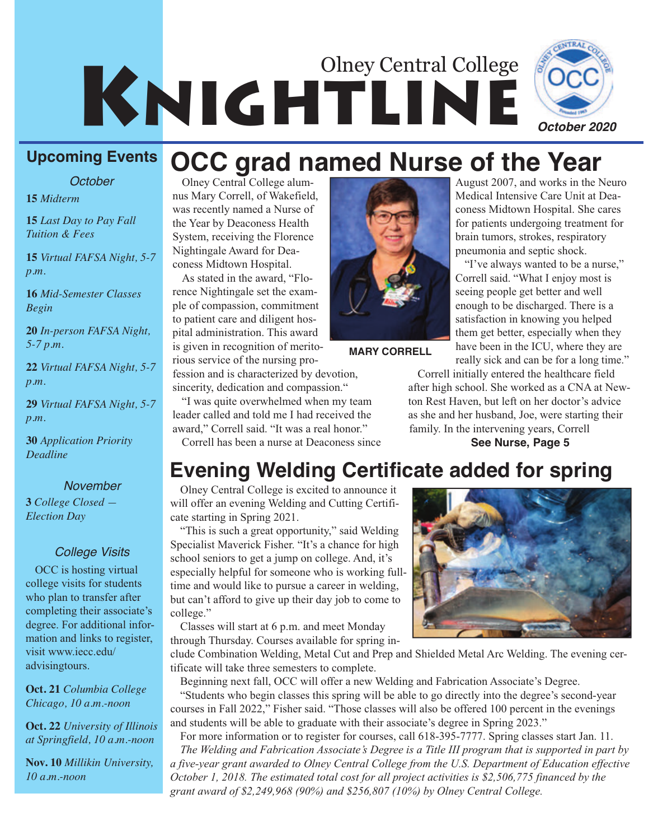# KNIGHTLINE Olney Central College



*October*

**15** *Midterm*

**15** *Last Day to Pay Fall Tuition & Fees*

**15** *Virtual FAFSA Night, 5-7 p.m.*

**16** *Mid-Semester Classes Begin*

**20** *In-person FAFSA Night, 5-7 p.m.*

**22** *Virtual FAFSA Night, 5-7 p.m.*

**29** *Virtual FAFSA Night, 5-7 p.m.*

**30** *Application Priority Deadline*

#### *November*

**3** *College Closed — Election Day*

#### *College Visits*

OCC is hosting virtual college visits for students who plan to transfer after completing their associate's degree. For additional information and links to register, visit www.iecc.edu/ advisingtours.

**Oct. 21** *Columbia College Chicago, 10 a.m.-noon*

**Oct. 22** *University of Illinois at Springfield, 10 a.m.-noon*

**Nov. 10** *Millikin University, 10 a.m.-noon*

Olney Central College alumnus Mary Correll, of Wakefield, was recently named a Nurse of the Year by Deaconess Health System, receiving the Florence Nightingale Award for Deaconess Midtown Hospital.

As stated in the award, "Florence Nightingale set the example of compassion, commitment to patient care and diligent hospital administration. This award is given in recognition of meritorious service of the nursing pro-

fession and is characterized by devotion, sincerity, dedication and compassion."

"I was quite overwhelmed when my team leader called and told me I had received the award," Correll said. "It was a real honor." Correll has been a nurse at Deaconess since

**MARY CORRELL**

August 2007, and works in the Neuro Medical Intensive Care Unit at Deaconess Midtown Hospital. She cares for patients undergoing treatment for brain tumors, strokes, respiratory pneumonia and septic shock. **OCC grad named Nurse of the Year**

> "I've always wanted to be a nurse," Correll said. "What I enjoy most is seeing people get better and well enough to be discharged. There is a satisfaction in knowing you helped them get better, especially when they have been in the ICU, where they are really sick and can be for a long time."

Correll initially entered the healthcare field after high school. She worked as a CNA at Newton Rest Haven, but left on her doctor's advice as she and her husband, Joe, were starting their family. In the intervening years, Correll **See Nurse, Page 5**

### **Evening Welding Certificate added for spring**

Olney Central College is excited to announce it will offer an evening Welding and Cutting Certificate starting in Spring 2021.

"This is such a great opportunity," said Welding Specialist Maverick Fisher. "It's a chance for high school seniors to get a jump on college. And, it's especially helpful for someone who is working fulltime and would like to pursue a career in welding, but can't afford to give up their day job to come to college."

Classes will start at 6 p.m. and meet Monday through Thursday. Courses available for spring in-



clude Combination Welding, Metal Cut and Prep and Shielded Metal Arc Welding. The evening certificate will take three semesters to complete.

Beginning next fall, OCC will offer a new Welding and Fabrication Associate's Degree. "Students who begin classes this spring will be able to go directly into the degree's second-year courses in Fall 2022," Fisher said. "Those classes will also be offered 100 percent in the evenings and students will be able to graduate with their associate's degree in Spring 2023."

For more information or to register for courses, call 618-395-7777. Spring classes start Jan. 11. *The Welding and Fabrication Associate's Degree is a Title III program that is supported in part by a five-year grant awarded to Olney Central College from the U.S. Department of Education effective October 1, 2018. The estimated total cost for all project activities is \$2,506,775 financed by the grant award of \$2,249,968 (90%) and \$256,807 (10%) by Olney Central College.*



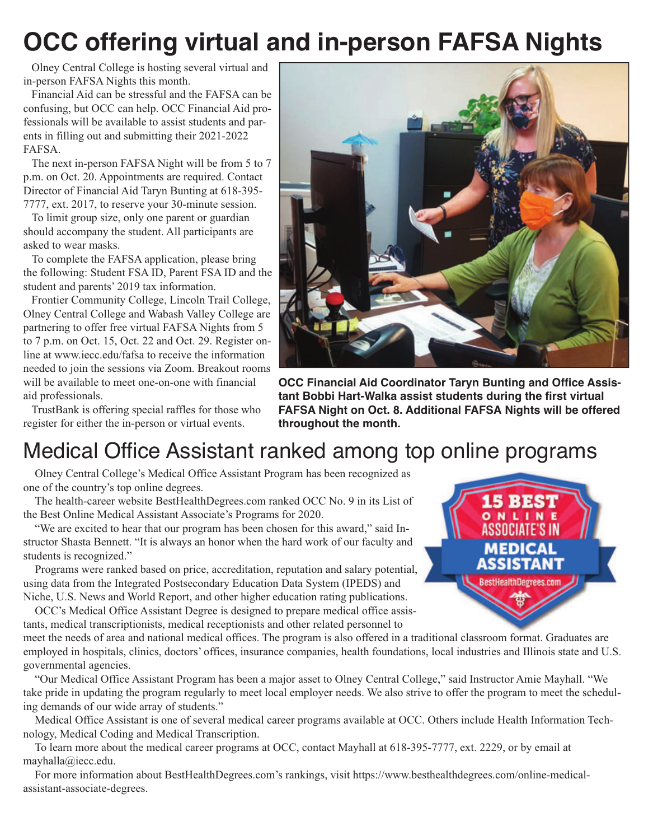# **OCC offering virtual and in-person FAFSA Nights**

Olney Central College is hosting several virtual and in-person FAFSA Nights this month.

Financial Aid can be stressful and the FAFSA can be confusing, but OCC can help. OCC Financial Aid professionals will be available to assist students and parents in filling out and submitting their 2021-2022 FAFSA.

The next in-person FAFSA Night will be from 5 to 7 p.m. on Oct. 20. Appointments are required. Contact Director of Financial Aid Taryn Bunting at 618-395- 7777, ext. 2017, to reserve your 30-minute session.

To limit group size, only one parent or guardian should accompany the student. All participants are asked to wear masks.

To complete the FAFSA application, please bring the following: Student FSA ID, Parent FSA ID and the student and parents' 2019 tax information.

Frontier Community College, Lincoln Trail College, Olney Central College and Wabash Valley College are partnering to offer free virtual FAFSA Nights from 5 to 7 p.m. on Oct. 15, Oct. 22 and Oct. 29. Register online at www.iecc.edu/fafsa to receive the information needed to join the sessions via Zoom. Breakout rooms will be available to meet one-on-one with financial aid professionals.

TrustBank is offering special raffles for those who register for either the in-person or virtual events.



**OCC Financial Aid Coordinator Taryn Bunting and Office Assistant Bobbi Hart-Walka assist students during the first virtual FAFSA Night on Oct. 8. Additional FAFSA Nights will be offered throughout the month.**

# Medical Office Assistant ranked among top online programs

Olney Central College's Medical Office Assistant Program has been recognized as one of the country's top online degrees.

The health-career website BestHealthDegrees.com ranked OCC No. 9 in its List of the Best Online Medical Assistant Associate's Programs for 2020.

"We are excited to hear that our program has been chosen for this award," said Instructor Shasta Bennett. "It is always an honor when the hard work of our faculty and students is recognized."

Programs were ranked based on price, accreditation, reputation and salary potential, using data from the Integrated Postsecondary Education Data System (IPEDS) and Niche, U.S. News and World Report, and other higher education rating publications.

OCC's Medical Office Assistant Degree is designed to prepare medical office assistants, medical transcriptionists, medical receptionists and other related personnel to

meet the needs of area and national medical offices. The program is also offered in a traditional classroom format. Graduates are employed in hospitals, clinics, doctors' offices, insurance companies, health foundations, local industries and Illinois state and U.S. governmental agencies.

"Our Medical Office Assistant Program has been a major asset to Olney Central College," said Instructor Amie Mayhall. "We take pride in updating the program regularly to meet local employer needs. We also strive to offer the program to meet the scheduling demands of our wide array of students."

Medical Office Assistant is one of several medical career programs available at OCC. Others include Health Information Technology, Medical Coding and Medical Transcription.

To learn more about the medical career programs at OCC, contact Mayhall at 618-395-7777, ext. 2229, or by email at mayhalla@iecc.edu.

For more information about BestHealthDegrees.com's rankings, visit https://www.besthealthdegrees.com/online-medicalassistant-associate-degrees.

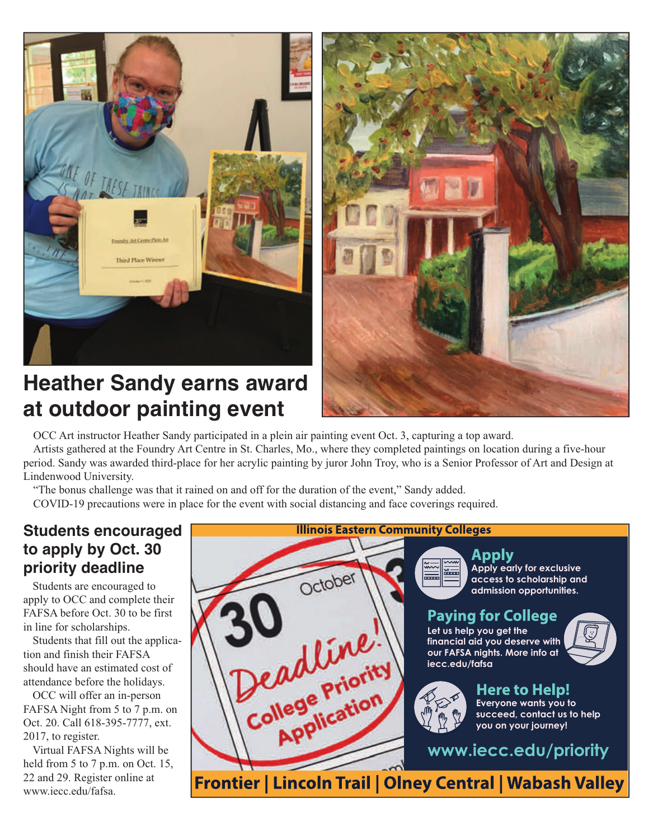

### **Heather Sandy earns award at outdoor painting event**



OCC Art instructor Heather Sandy participated in a plein air painting event Oct. 3, capturing a top award.

Artists gathered at the Foundry Art Centre in St. Charles, Mo., where they completed paintings on location during a five-hour period. Sandy was awarded third-place for her acrylic painting by juror John Troy, who is a Senior Professor of Art and Design at Lindenwood University.

October

dline

College Priority

"The bonus challenge was that it rained on and off for the duration of the event," Sandy added.

COVID-19 precautions were in place for the event with social distancing and face coverings required.

#### **Students encouraged to apply by Oct. 30 priority deadline**

Students are encouraged to apply to OCC and complete their FAFSA before Oct. 30 to be first in line for scholarships.

Students that fill out the application and finish their FAFSA should have an estimated cost of attendance before the holidays.

OCC will offer an in-person FAFSA Night from 5 to 7 p.m. on Oct. 20. Call 618-395-7777, ext. 2017, to register.

Virtual FAFSA Nights will be held from 5 to 7 p.m. on Oct. 15, 22 and 29. Register online at www.iecc.edu/fafsa.

#### **Illinois Eastern Community Colleges**



Apply **Apply early for exclusive access to scholarship and admission opportunities.** 

#### **Paying for College**

**Let us help you get the financial aid you deserve with our FAFSA nights. More info at iecc.edu/fafsa**





Here to Help! **Everyone wants you to succeed, contact us to help you on your journey!**

**www.iecc.edu/priority**

Frontier | Lincoln Trail | Olney Central | Wabash Valley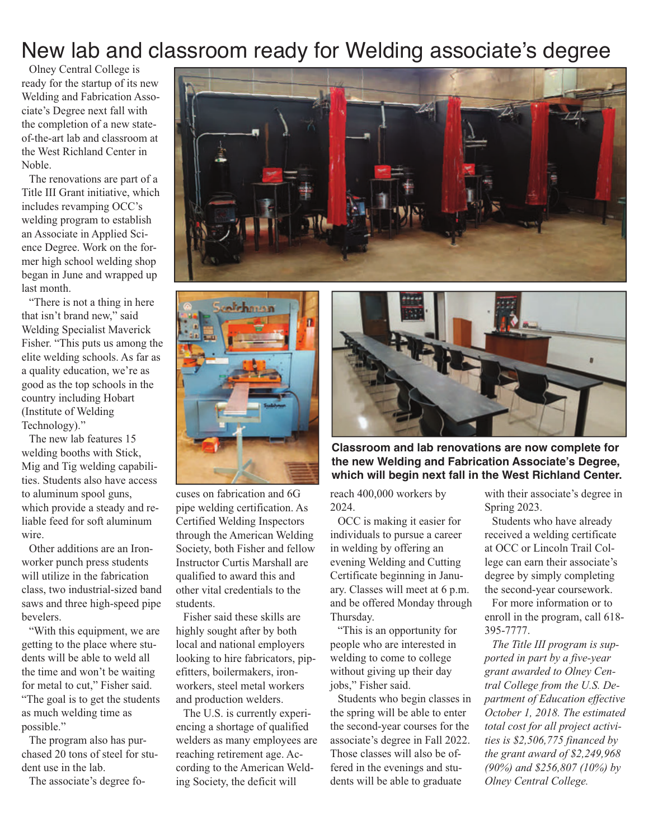## New lab and classroom ready for Welding associate's degree

Olney Central College is ready for the startup of its new Welding and Fabrication Associate's Degree next fall with the completion of a new stateof-the-art lab and classroom at the West Richland Center in Noble.

The renovations are part of a Title III Grant initiative, which includes revamping OCC's welding program to establish an Associate in Applied Science Degree. Work on the former high school welding shop began in June and wrapped up last month.

"There is not a thing in here that isn't brand new," said Welding Specialist Maverick Fisher. "This puts us among the elite welding schools. As far as a quality education, we're as good as the top schools in the country including Hobart (Institute of Welding Technology)."

The new lab features 15 welding booths with Stick, Mig and Tig welding capabilities. Students also have access to aluminum spool guns, which provide a steady and reliable feed for soft aluminum wire.

Other additions are an Ironworker punch press students will utilize in the fabrication class, two industrial-sized band saws and three high-speed pipe bevelers.

"With this equipment, we are getting to the place where students will be able to weld all the time and won't be waiting for metal to cut," Fisher said. "The goal is to get the students as much welding time as possible."

The program also has purchased 20 tons of steel for student use in the lab.

The associate's degree fo-





cuses on fabrication and 6G pipe welding certification. As Certified Welding Inspectors through the American Welding Society, both Fisher and fellow Instructor Curtis Marshall are qualified to award this and other vital credentials to the students.

Fisher said these skills are highly sought after by both local and national employers looking to hire fabricators, pipefitters, boilermakers, ironworkers, steel metal workers and production welders.

The U.S. is currently experiencing a shortage of qualified welders as many employees are reaching retirement age. According to the American Welding Society, the deficit will



**Classroom and lab renovations are now complete for the new Welding and Fabrication Associate's Degree, which will begin next fall in the West Richland Center.** 

reach 400,000 workers by 2024.

OCC is making it easier for individuals to pursue a career in welding by offering an evening Welding and Cutting Certificate beginning in January. Classes will meet at 6 p.m. and be offered Monday through Thursday.

"This is an opportunity for people who are interested in welding to come to college without giving up their day jobs," Fisher said.

Students who begin classes in the spring will be able to enter the second-year courses for the associate's degree in Fall 2022. Those classes will also be offered in the evenings and students will be able to graduate

with their associate's degree in Spring 2023.

Students who have already received a welding certificate at OCC or Lincoln Trail College can earn their associate's degree by simply completing the second-year coursework.

For more information or to enroll in the program, call 618- 395-7777.

*The Title III program is supported in part by a five-year grant awarded to Olney Central College from the U.S. Department of Education effective October 1, 2018. The estimated total cost for all project activities is \$2,506,775 financed by the grant award of \$2,249,968 (90%) and \$256,807 (10%) by Olney Central College.*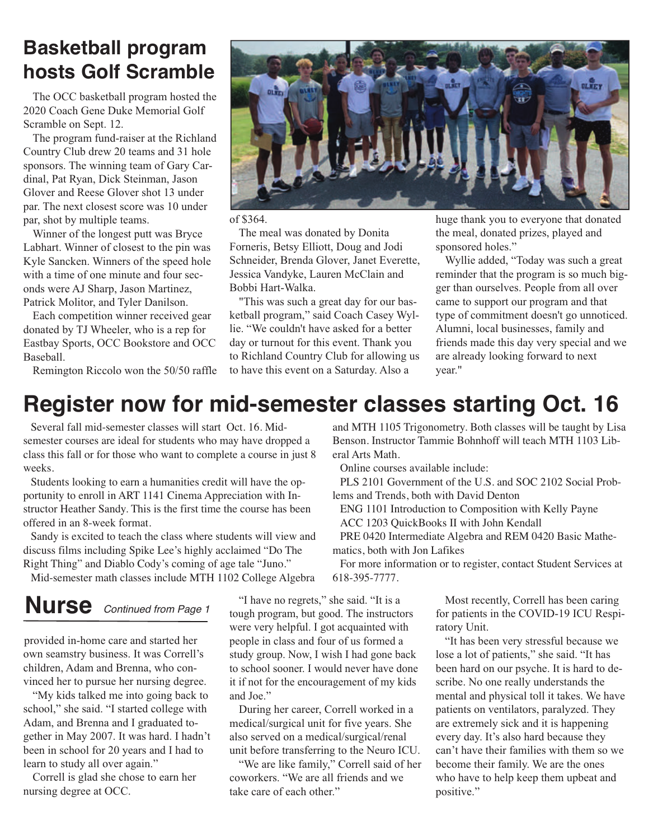### **Basketball program hosts Golf Scramble**

The OCC basketball program hosted the 2020 Coach Gene Duke Memorial Golf Scramble on Sept. 12.

The program fund-raiser at the Richland Country Club drew 20 teams and 31 hole sponsors. The winning team of Gary Cardinal, Pat Ryan, Dick Steinman, Jason Glover and Reese Glover shot 13 under par. The next closest score was 10 under par, shot by multiple teams.

Winner of the longest putt was Bryce Labhart. Winner of closest to the pin was Kyle Sancken. Winners of the speed hole with a time of one minute and four seconds were AJ Sharp, Jason Martinez, Patrick Molitor, and Tyler Danilson.

Each competition winner received gear donated by TJ Wheeler, who is a rep for Eastbay Sports, OCC Bookstore and OCC Baseball.



of \$364.

The meal was donated by Donita Forneris, Betsy Elliott, Doug and Jodi Schneider, Brenda Glover, Janet Everette, Jessica Vandyke, Lauren McClain and Bobbi Hart-Walka.

"This was such a great day for our basketball program," said Coach Casey Wyllie. "We couldn't have asked for a better day or turnout for this event. Thank you to Richland Country Club for allowing us to have this event on a Saturday. Also a

huge thank you to everyone that donated the meal, donated prizes, played and sponsored holes."

Wyllie added, "Today was such a great reminder that the program is so much bigger than ourselves. People from all over came to support our program and that type of commitment doesn't go unnoticed. Alumni, local businesses, family and friends made this day very special and we are already looking forward to next year."

Remington Riccolo won the 50/50 raffle

# **Register now for mid-semester classes starting Oct. 16**

Several fall mid-semester classes will start Oct. 16. Midsemester courses are ideal for students who may have dropped a class this fall or for those who want to complete a course in just 8 weeks.

Students looking to earn a humanities credit will have the opportunity to enroll in ART 1141 Cinema Appreciation with Instructor Heather Sandy. This is the first time the course has been offered in an 8-week format.

Sandy is excited to teach the class where students will view and discuss films including Spike Lee's highly acclaimed "Do The Right Thing" and Diablo Cody's coming of age tale "Juno."

Mid-semester math classes include MTH 1102 College Algebra

# **Nurse** *Continued from Page 1*

provided in-home care and started her own seamstry business. It was Correll's children, Adam and Brenna, who convinced her to pursue her nursing degree.

"My kids talked me into going back to school," she said. "I started college with Adam, and Brenna and I graduated together in May 2007. It was hard. I hadn't been in school for 20 years and I had to learn to study all over again."

Correll is glad she chose to earn her nursing degree at OCC.

"I have no regrets," she said. "It is a tough program, but good. The instructors were very helpful. I got acquainted with people in class and four of us formed a study group. Now, I wish I had gone back to school sooner. I would never have done it if not for the encouragement of my kids and Joe."

During her career, Correll worked in a medical/surgical unit for five years. She also served on a medical/surgical/renal unit before transferring to the Neuro ICU.

"We are like family," Correll said of her coworkers. "We are all friends and we take care of each other."

and MTH 1105 Trigonometry. Both classes will be taught by Lisa Benson. Instructor Tammie Bohnhoff will teach MTH 1103 Liberal Arts Math.

Online courses available include:

PLS 2101 Government of the U.S. and SOC 2102 Social Problems and Trends, both with David Denton

ENG 1101 Introduction to Composition with Kelly Payne ACC 1203 QuickBooks II with John Kendall

PRE 0420 Intermediate Algebra and REM 0420 Basic Mathematics, both with Jon Lafikes

For more information or to register, contact Student Services at 618-395-7777.

> Most recently, Correll has been caring for patients in the COVID-19 ICU Respiratory Unit.

> "It has been very stressful because we lose a lot of patients," she said. "It has been hard on our psyche. It is hard to describe. No one really understands the mental and physical toll it takes. We have patients on ventilators, paralyzed. They are extremely sick and it is happening every day. It's also hard because they can't have their families with them so we become their family. We are the ones who have to help keep them upbeat and positive."